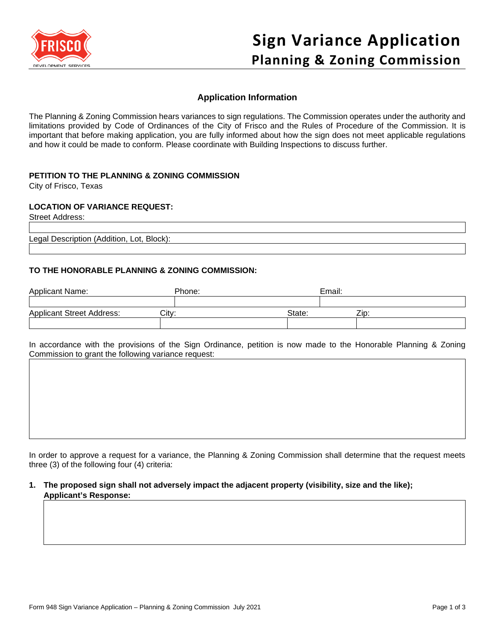

# **Sign Variance Application Planning & Zoning Commission**

# **Application Information**

The Planning & Zoning Commission hears variances to sign regulations. The Commission operates under the authority and limitations provided by Code of Ordinances of the City of Frisco and the Rules of Procedure of the Commission. It is important that before making application, you are fully informed about how the sign does not meet applicable regulations and how it could be made to conform. Please coordinate with Building Inspections to discuss further.

# **PETITION TO THE PLANNING & ZONING COMMISSION**

City of Frisco, Texas

# **LOCATION OF VARIANCE REQUEST:**

Street Address:

Legal Description (Addition, Lot, Block):

#### **TO THE HONORABLE PLANNING & ZONING COMMISSION:**

| <b>Applicant Name:</b>           | Phone: | Email:         |  |
|----------------------------------|--------|----------------|--|
|                                  |        |                |  |
| <b>Applicant Street Address:</b> | City:  | Zip:<br>State: |  |
|                                  |        |                |  |

In accordance with the provisions of the Sign Ordinance, petition is now made to the Honorable Planning & Zoning Commission to grant the following variance request:

In order to approve a request for a variance, the Planning & Zoning Commission shall determine that the request meets three (3) of the following four (4) criteria:

### **1. The proposed sign shall not adversely impact the adjacent property (visibility, size and the like); Applicant's Response:**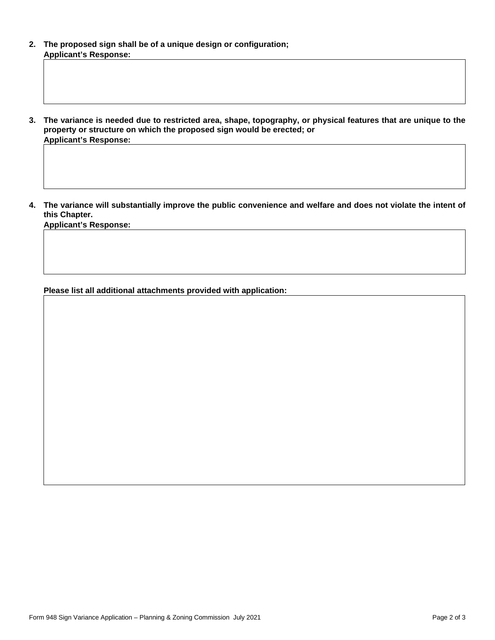- **2. The proposed sign shall be of a unique design or configuration; Applicant's Response:**
- **3. The variance is needed due to restricted area, shape, topography, or physical features that are unique to the property or structure on which the proposed sign would be erected; or Applicant's Response:**
- **4. The variance will substantially improve the public convenience and welfare and does not violate the intent of this Chapter.**

**Applicant's Response:**

**Please list all additional attachments provided with application:**